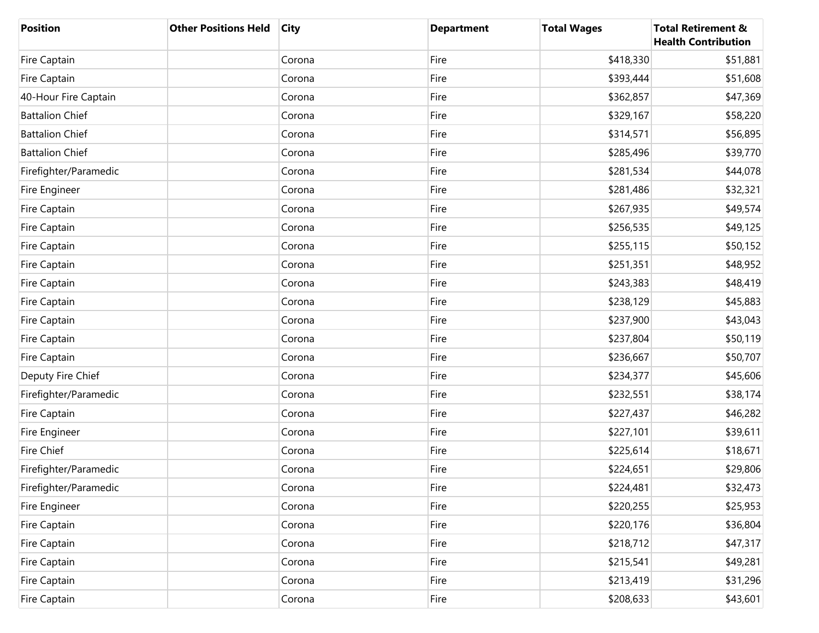| <b>Position</b>        | <b>Other Positions Held</b> | <b>City</b> | <b>Department</b> | <b>Total Wages</b> | <b>Total Retirement &amp;</b><br><b>Health Contribution</b> |
|------------------------|-----------------------------|-------------|-------------------|--------------------|-------------------------------------------------------------|
| Fire Captain           |                             | Corona      | Fire              | \$418,330          | \$51,881                                                    |
| Fire Captain           |                             | Corona      | Fire              | \$393,444          | \$51,608                                                    |
| 40-Hour Fire Captain   |                             | Corona      | Fire              | \$362,857          | \$47,369                                                    |
| <b>Battalion Chief</b> |                             | Corona      | Fire              | \$329,167          | \$58,220                                                    |
| <b>Battalion Chief</b> |                             | Corona      | Fire              | \$314,571          | \$56,895                                                    |
| <b>Battalion Chief</b> |                             | Corona      | Fire              | \$285,496          | \$39,770                                                    |
| Firefighter/Paramedic  |                             | Corona      | Fire              | \$281,534          | \$44,078                                                    |
| Fire Engineer          |                             | Corona      | Fire              | \$281,486          | \$32,321                                                    |
| Fire Captain           |                             | Corona      | Fire              | \$267,935          | \$49,574                                                    |
| Fire Captain           |                             | Corona      | Fire              | \$256,535          | \$49,125                                                    |
| Fire Captain           |                             | Corona      | Fire              | \$255,115          | \$50,152                                                    |
| Fire Captain           |                             | Corona      | Fire              | \$251,351          | \$48,952                                                    |
| Fire Captain           |                             | Corona      | Fire              | \$243,383          | \$48,419                                                    |
| Fire Captain           |                             | Corona      | Fire              | \$238,129          | \$45,883                                                    |
| Fire Captain           |                             | Corona      | Fire              | \$237,900          | \$43,043                                                    |
| Fire Captain           |                             | Corona      | Fire              | \$237,804          | \$50,119                                                    |
| Fire Captain           |                             | Corona      | Fire              | \$236,667          | \$50,707                                                    |
| Deputy Fire Chief      |                             | Corona      | Fire              | \$234,377          | \$45,606                                                    |
| Firefighter/Paramedic  |                             | Corona      | Fire              | \$232,551          | \$38,174                                                    |
| Fire Captain           |                             | Corona      | Fire              | \$227,437          | \$46,282                                                    |
| Fire Engineer          |                             | Corona      | Fire              | \$227,101          | \$39,611                                                    |
| Fire Chief             |                             | Corona      | Fire              | \$225,614          | \$18,671                                                    |
| Firefighter/Paramedic  |                             | Corona      | Fire              | \$224,651          | \$29,806                                                    |
| Firefighter/Paramedic  |                             | Corona      | Fire              | \$224,481          | \$32,473                                                    |
| Fire Engineer          |                             | Corona      | Fire              | \$220,255          | \$25,953                                                    |
| Fire Captain           |                             | Corona      | Fire              | \$220,176          | \$36,804                                                    |
| Fire Captain           |                             | Corona      | Fire              | \$218,712          | \$47,317                                                    |
| Fire Captain           |                             | Corona      | Fire              | \$215,541          | \$49,281                                                    |
| Fire Captain           |                             | Corona      | Fire              | \$213,419          | \$31,296                                                    |
| Fire Captain           |                             | Corona      | Fire              | \$208,633          | \$43,601                                                    |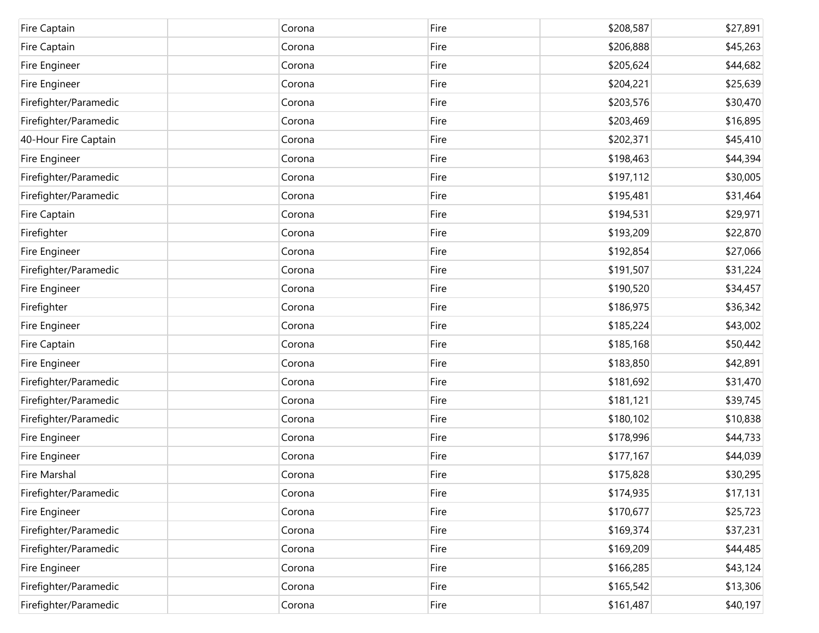| Fire Captain          | Corona | Fire | \$208,587 | \$27,891 |
|-----------------------|--------|------|-----------|----------|
| Fire Captain          | Corona | Fire | \$206,888 | \$45,263 |
| Fire Engineer         | Corona | Fire | \$205,624 | \$44,682 |
| Fire Engineer         | Corona | Fire | \$204,221 | \$25,639 |
| Firefighter/Paramedic | Corona | Fire | \$203,576 | \$30,470 |
| Firefighter/Paramedic | Corona | Fire | \$203,469 | \$16,895 |
| 40-Hour Fire Captain  | Corona | Fire | \$202,371 | \$45,410 |
| Fire Engineer         | Corona | Fire | \$198,463 | \$44,394 |
| Firefighter/Paramedic | Corona | Fire | \$197,112 | \$30,005 |
| Firefighter/Paramedic | Corona | Fire | \$195,481 | \$31,464 |
| Fire Captain          | Corona | Fire | \$194,531 | \$29,971 |
| Firefighter           | Corona | Fire | \$193,209 | \$22,870 |
| Fire Engineer         | Corona | Fire | \$192,854 | \$27,066 |
| Firefighter/Paramedic | Corona | Fire | \$191,507 | \$31,224 |
| Fire Engineer         | Corona | Fire | \$190,520 | \$34,457 |
| Firefighter           | Corona | Fire | \$186,975 | \$36,342 |
| Fire Engineer         | Corona | Fire | \$185,224 | \$43,002 |
| Fire Captain          | Corona | Fire | \$185,168 | \$50,442 |
| Fire Engineer         | Corona | Fire | \$183,850 | \$42,891 |
| Firefighter/Paramedic | Corona | Fire | \$181,692 | \$31,470 |
| Firefighter/Paramedic | Corona | Fire | \$181,121 | \$39,745 |
| Firefighter/Paramedic | Corona | Fire | \$180,102 | \$10,838 |
| Fire Engineer         | Corona | Fire | \$178,996 | \$44,733 |
| Fire Engineer         | Corona | Fire | \$177,167 | \$44,039 |
| Fire Marshal          | Corona | Fire | \$175,828 | \$30,295 |
| Firefighter/Paramedic | Corona | Fire | \$174,935 | \$17,131 |
| Fire Engineer         | Corona | Fire | \$170,677 | \$25,723 |
| Firefighter/Paramedic | Corona | Fire | \$169,374 | \$37,231 |
| Firefighter/Paramedic | Corona | Fire | \$169,209 | \$44,485 |
| Fire Engineer         | Corona | Fire | \$166,285 | \$43,124 |
| Firefighter/Paramedic | Corona | Fire | \$165,542 | \$13,306 |
| Firefighter/Paramedic | Corona | Fire | \$161,487 | \$40,197 |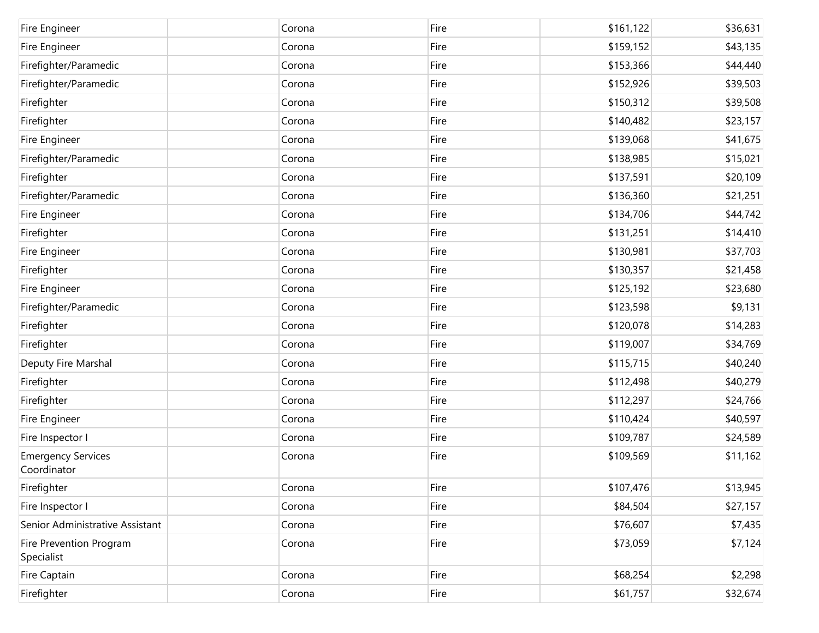| Fire Engineer                            | Corona | Fire | \$161,122 | \$36,631 |
|------------------------------------------|--------|------|-----------|----------|
| Fire Engineer                            | Corona | Fire | \$159,152 | \$43,135 |
| Firefighter/Paramedic                    | Corona | Fire | \$153,366 | \$44,440 |
| Firefighter/Paramedic                    | Corona | Fire | \$152,926 | \$39,503 |
| Firefighter                              | Corona | Fire | \$150,312 | \$39,508 |
| Firefighter                              | Corona | Fire | \$140,482 | \$23,157 |
| Fire Engineer                            | Corona | Fire | \$139,068 | \$41,675 |
| Firefighter/Paramedic                    | Corona | Fire | \$138,985 | \$15,021 |
| Firefighter                              | Corona | Fire | \$137,591 | \$20,109 |
| Firefighter/Paramedic                    | Corona | Fire | \$136,360 | \$21,251 |
| Fire Engineer                            | Corona | Fire | \$134,706 | \$44,742 |
| Firefighter                              | Corona | Fire | \$131,251 | \$14,410 |
| Fire Engineer                            | Corona | Fire | \$130,981 | \$37,703 |
| Firefighter                              | Corona | Fire | \$130,357 | \$21,458 |
| Fire Engineer                            | Corona | Fire | \$125,192 | \$23,680 |
| Firefighter/Paramedic                    | Corona | Fire | \$123,598 | \$9,131  |
| Firefighter                              | Corona | Fire | \$120,078 | \$14,283 |
| Firefighter                              | Corona | Fire | \$119,007 | \$34,769 |
| Deputy Fire Marshal                      | Corona | Fire | \$115,715 | \$40,240 |
| Firefighter                              | Corona | Fire | \$112,498 | \$40,279 |
| Firefighter                              | Corona | Fire | \$112,297 | \$24,766 |
| Fire Engineer                            | Corona | Fire | \$110,424 | \$40,597 |
| Fire Inspector I                         | Corona | Fire | \$109,787 | \$24,589 |
| <b>Emergency Services</b><br>Coordinator | Corona | Fire | \$109,569 | \$11,162 |
| Firefighter                              | Corona | Fire | \$107,476 | \$13,945 |
| Fire Inspector I                         | Corona | Fire | \$84,504  | \$27,157 |
| Senior Administrative Assistant          | Corona | Fire | \$76,607  | \$7,435  |
| Fire Prevention Program<br>Specialist    | Corona | Fire | \$73,059  | \$7,124  |
| <b>Fire Captain</b>                      | Corona | Fire | \$68,254  | \$2,298  |
| Firefighter                              | Corona | Fire | \$61,757  | \$32,674 |